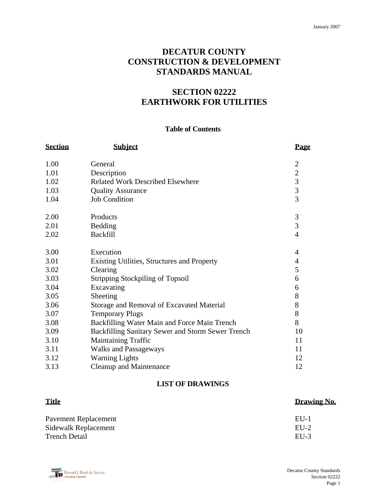# **DECATUR COUNTY CONSTRUCTION & DEVELOPMENT STANDARDS MANUAL**

# **SECTION 02222 EARTHWORK FOR UTILITIES**

#### **Table of Contents**

| <b>Section</b> | <b>Subject</b>                                    | Page                                       |
|----------------|---------------------------------------------------|--------------------------------------------|
| 1.00           | General                                           | $\overline{2}$                             |
| 1.01           | Description                                       | $\overline{2}$                             |
| 1.02           | <b>Related Work Described Elsewhere</b>           |                                            |
| 1.03           | <b>Quality Assurance</b>                          | $\begin{array}{c} 3 \\ 3 \\ 3 \end{array}$ |
| 1.04           | <b>Job Condition</b>                              |                                            |
| 2.00           | Products                                          | 3                                          |
| 2.01           | Bedding                                           | $\overline{3}$                             |
| 2.02           | <b>Backfill</b>                                   | $\overline{4}$                             |
| 3.00           | Execution                                         | $\overline{4}$                             |
| 3.01           | Existing Utilities, Structures and Property       | $\overline{4}$                             |
| 3.02           | Clearing                                          | 5                                          |
| 3.03           | <b>Stripping Stockpiling of Topsoil</b>           | 6                                          |
| 3.04           | Excavating                                        | 6                                          |
| 3.05           | Sheeting                                          | 8                                          |
| 3.06           | Storage and Removal of Excavated Material         | 8                                          |
| 3.07           | <b>Temporary Plugs</b>                            | 8                                          |
| 3.08           | Backfilling Water Main and Force Main Trench      | 8                                          |
| 3.09           | Backfilling Sanitary Sewer and Storm Sewer Trench | 10                                         |
| 3.10           | <b>Maintaining Traffic</b>                        | 11                                         |
| 3.11           | <b>Walks and Passageways</b>                      | 11                                         |
| 3.12           | <b>Warning Lights</b>                             | 12                                         |
| 3.13           | <b>Cleanup and Maintenance</b>                    | 12                                         |

# **LIST OF DRAWINGS**

| <b>Title</b>         | Drawing No. |
|----------------------|-------------|
| Pavement Replacement | $EII-1$     |
| Sidewalk Replacement | $EU-2$      |
| <b>Trench Detail</b> | $EII-3$     |

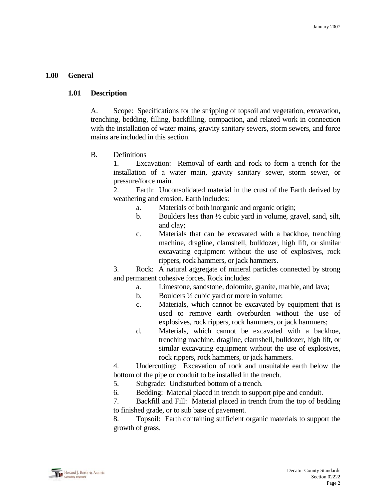#### **1.00 General**

#### **1.01 Description**

 A. Scope: Specifications for the stripping of topsoil and vegetation, excavation, trenching, bedding, filling, backfilling, compaction, and related work in connection with the installation of water mains, gravity sanitary sewers, storm sewers, and force mains are included in this section.

#### B. Definitions

 1. Excavation: Removal of earth and rock to form a trench for the installation of a water main, gravity sanitary sewer, storm sewer, or pressure/force main.

 2. Earth: Unconsolidated material in the crust of the Earth derived by weathering and erosion. Earth includes:

- a. Materials of both inorganic and organic origin;
- b. Boulders less than ½ cubic yard in volume, gravel, sand, silt, and clay;
- c. Materials that can be excavated with a backhoe, trenching machine, dragline, clamshell, bulldozer, high lift, or similar excavating equipment without the use of explosives, rock rippers, rock hammers, or jack hammers.

 3. Rock: A natural aggregate of mineral particles connected by strong and permanent cohesive forces. Rock includes:

- a. Limestone, sandstone, dolomite, granite, marble, and lava;
- b. Boulders ½ cubic yard or more in volume;
- c. Materials, which cannot be excavated by equipment that is used to remove earth overburden without the use of explosives, rock rippers, rock hammers, or jack hammers;
- d. Materials, which cannot be excavated with a backhoe, trenching machine, dragline, clamshell, bulldozer, high lift, or similar excavating equipment without the use of explosives, rock rippers, rock hammers, or jack hammers.

 4. Undercutting: Excavation of rock and unsuitable earth below the bottom of the pipe or conduit to be installed in the trench.

- 5. Subgrade: Undisturbed bottom of a trench.
- 6. Bedding: Material placed in trench to support pipe and conduit.

 7. Backfill and Fill: Material placed in trench from the top of bedding to finished grade, or to sub base of pavement.

 8. Topsoil: Earth containing sufficient organic materials to support the growth of grass.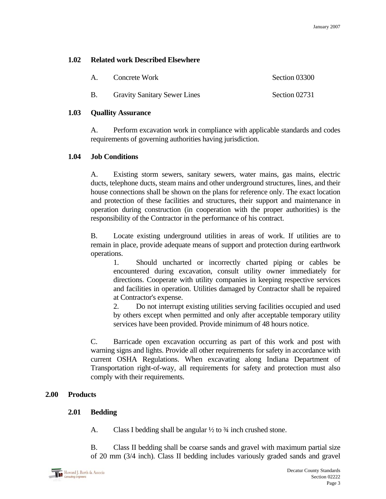# **1.02 Related work Described Elsewhere**

|  | Concrete Work                       | Section 03300 |
|--|-------------------------------------|---------------|
|  | <b>Gravity Sanitary Sewer Lines</b> | Section 02731 |

## **1.03 Quallity Assurance**

 A. Perform excavation work in compliance with applicable standards and codes requirements of governing authorities having jurisdiction.

## **1.04 Job Conditions**

 A. Existing storm sewers, sanitary sewers, water mains, gas mains, electric ducts, telephone ducts, steam mains and other underground structures, lines, and their house connections shall be shown on the plans for reference only. The exact location and protection of these facilities and structures, their support and maintenance in operation during construction (in cooperation with the proper authorities) is the responsibility of the Contractor in the performance of his contract.

 B. Locate existing underground utilities in areas of work. If utilities are to remain in place, provide adequate means of support and protection during earthwork operations.

 1. Should uncharted or incorrectly charted piping or cables be encountered during excavation, consult utility owner immediately for directions. Cooperate with utility companies in keeping respective services and facilities in operation. Utilities damaged by Contractor shall be repaired at Contractor's expense.

 2. Do not interrupt existing utilities serving facilities occupied and used by others except when permitted and only after acceptable temporary utility services have been provided. Provide minimum of 48 hours notice.

 C. Barricade open excavation occurring as part of this work and post with warning signs and lights. Provide all other requirements for safety in accordance with current OSHA Regulations. When excavating along Indiana Department of Transportation right-of-way, all requirements for safety and protection must also comply with their requirements.

# **2.00 Products**

# **2.01 Bedding**

A. Class I bedding shall be angular  $\frac{1}{2}$  to  $\frac{3}{4}$  inch crushed stone.

 B. Class II bedding shall be coarse sands and gravel with maximum partial size of 20 mm (3/4 inch). Class II bedding includes variously graded sands and gravel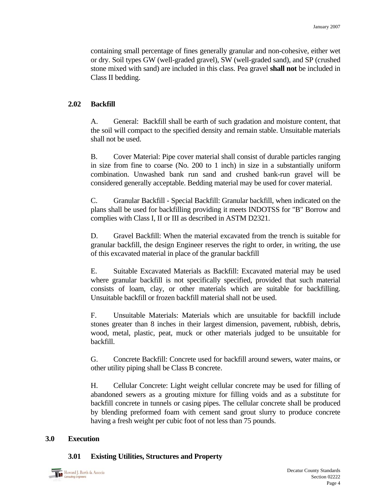containing small percentage of fines generally granular and non-cohesive, either wet or dry. Soil types GW (well-graded gravel), SW (well-graded sand), and SP (crushed stone mixed with sand) are included in this class. Pea gravel **shall not** be included in Class II bedding.

## **2.02 Backfill**

 A. General: Backfill shall be earth of such gradation and moisture content, that the soil will compact to the specified density and remain stable. Unsuitable materials shall not be used.

 B. Cover Material: Pipe cover material shall consist of durable particles ranging in size from fine to coarse (No. 200 to 1 inch) in size in a substantially uniform combination. Unwashed bank run sand and crushed bank-run gravel will be considered generally acceptable. Bedding material may be used for cover material.

 C. Granular Backfill - Special Backfill: Granular backfill, when indicated on the plans shall be used for backfilling providing it meets INDOTSS for "B" Borrow and complies with Class I, II or III as described in ASTM D2321.

 D. Gravel Backfill: When the material excavated from the trench is suitable for granular backfill, the design Engineer reserves the right to order, in writing, the use of this excavated material in place of the granular backfill

 E. Suitable Excavated Materials as Backfill: Excavated material may be used where granular backfill is not specifically specified, provided that such material consists of loam, clay, or other materials which are suitable for backfilling. Unsuitable backfill or frozen backfill material shall not be used.

 F. Unsuitable Materials: Materials which are unsuitable for backfill include stones greater than 8 inches in their largest dimension, pavement, rubbish, debris, wood, metal, plastic, peat, muck or other materials judged to be unsuitable for backfill.

 G. Concrete Backfill: Concrete used for backfill around sewers, water mains, or other utility piping shall be Class B concrete.

 H. Cellular Concrete: Light weight cellular concrete may be used for filling of abandoned sewers as a grouting mixture for filling voids and as a substitute for backfill concrete in tunnels or casing pipes. The cellular concrete shall be produced by blending preformed foam with cement sand grout slurry to produce concrete having a fresh weight per cubic foot of not less than 75 pounds.

#### **3.0 Execution**

#### **3.01 Existing Utilities, Structures and Property**

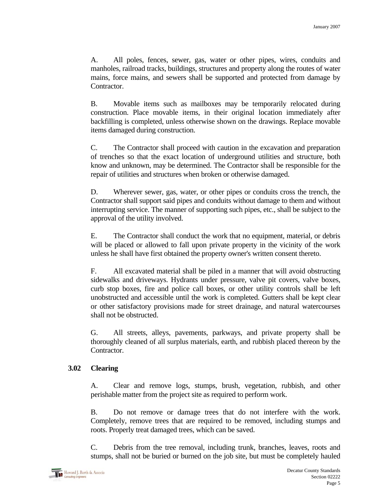A. All poles, fences, sewer, gas, water or other pipes, wires, conduits and manholes, railroad tracks, buildings, structures and property along the routes of water mains, force mains, and sewers shall be supported and protected from damage by Contractor.

 B. Movable items such as mailboxes may be temporarily relocated during construction. Place movable items, in their original location immediately after backfilling is completed, unless otherwise shown on the drawings. Replace movable items damaged during construction.

 C. The Contractor shall proceed with caution in the excavation and preparation of trenches so that the exact location of underground utilities and structure, both know and unknown, may be determined. The Contractor shall be responsible for the repair of utilities and structures when broken or otherwise damaged.

 D. Wherever sewer, gas, water, or other pipes or conduits cross the trench, the Contractor shall support said pipes and conduits without damage to them and without interrupting service. The manner of supporting such pipes, etc., shall be subject to the approval of the utility involved.

 E. The Contractor shall conduct the work that no equipment, material, or debris will be placed or allowed to fall upon private property in the vicinity of the work unless he shall have first obtained the property owner's written consent thereto.

 F. All excavated material shall be piled in a manner that will avoid obstructing sidewalks and driveways. Hydrants under pressure, valve pit covers, valve boxes, curb stop boxes, fire and police call boxes, or other utility controls shall be left unobstructed and accessible until the work is completed. Gutters shall be kept clear or other satisfactory provisions made for street drainage, and natural watercourses shall not be obstructed.

 G. All streets, alleys, pavements, parkways, and private property shall be thoroughly cleaned of all surplus materials, earth, and rubbish placed thereon by the Contractor.

## **3.02 Clearing**

 A. Clear and remove logs, stumps, brush, vegetation, rubbish, and other perishable matter from the project site as required to perform work.

 B. Do not remove or damage trees that do not interfere with the work. Completely, remove trees that are required to be removed, including stumps and roots. Properly treat damaged trees, which can be saved.

 C. Debris from the tree removal, including trunk, branches, leaves, roots and stumps, shall not be buried or burned on the job site, but must be completely hauled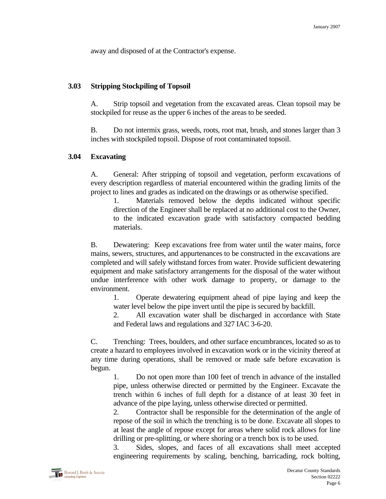away and disposed of at the Contractor's expense.

#### **3.03 Stripping Stockpiling of Topsoil**

 A. Strip topsoil and vegetation from the excavated areas. Clean topsoil may be stockpiled for reuse as the upper 6 inches of the areas to be seeded.

 B. Do not intermix grass, weeds, roots, root mat, brush, and stones larger than 3 inches with stockpiled topsoil. Dispose of root contaminated topsoil.

#### **3.04 Excavating**

 A. General: After stripping of topsoil and vegetation, perform excavations of every description regardless of material encountered within the grading limits of the project to lines and grades as indicated on the drawings or as otherwise specified.

 1. Materials removed below the depths indicated without specific direction of the Engineer shall be replaced at no additional cost to the Owner, to the indicated excavation grade with satisfactory compacted bedding materials.

 B. Dewatering: Keep excavations free from water until the water mains, force mains, sewers, structures, and appurtenances to be constructed in the excavations are completed and will safely withstand forces from water. Provide sufficient dewatering equipment and make satisfactory arrangements for the disposal of the water without undue interference with other work damage to property, or damage to the environment.

 1. Operate dewatering equipment ahead of pipe laying and keep the water level below the pipe invert until the pipe is secured by backfill.

 2. All excavation water shall be discharged in accordance with State and Federal laws and regulations and 327 IAC 3-6-20.

 C. Trenching: Trees, boulders, and other surface encumbrances, located so as to create a hazard to employees involved in excavation work or in the vicinity thereof at any time during operations, shall be removed or made safe before excavation is begun.

 1. Do not open more than 100 feet of trench in advance of the installed pipe, unless otherwise directed or permitted by the Engineer. Excavate the trench within 6 inches of full depth for a distance of at least 30 feet in advance of the pipe laying, unless otherwise directed or permitted.

 2. Contractor shall be responsible for the determination of the angle of repose of the soil in which the trenching is to be done. Excavate all slopes to at least the angle of repose except for areas where solid rock allows for line drilling or pre-splitting, or where shoring or a trench box is to be used.

 3. Sides, slopes, and faces of all excavations shall meet accepted engineering requirements by scaling, benching, barricading, rock bolting,

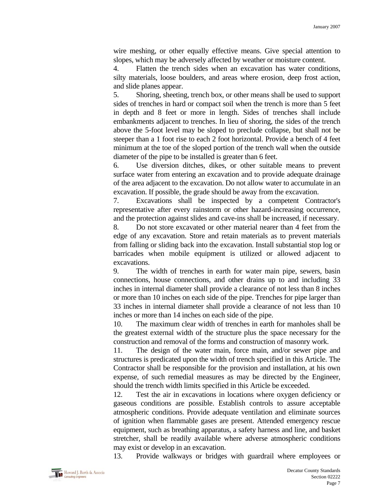wire meshing, or other equally effective means. Give special attention to slopes, which may be adversely affected by weather or moisture content.

 4. Flatten the trench sides when an excavation has water conditions, silty materials, loose boulders, and areas where erosion, deep frost action, and slide planes appear.

 5. Shoring, sheeting, trench box, or other means shall be used to support sides of trenches in hard or compact soil when the trench is more than 5 feet in depth and 8 feet or more in length. Sides of trenches shall include embankments adjacent to trenches. In lieu of shoring, the sides of the trench above the 5-foot level may be sloped to preclude collapse, but shall not be steeper than a 1 foot rise to each 2 foot horizontal. Provide a bench of 4 feet minimum at the toe of the sloped portion of the trench wall when the outside diameter of the pipe to be installed is greater than 6 feet.

 6. Use diversion ditches, dikes, or other suitable means to prevent surface water from entering an excavation and to provide adequate drainage of the area adjacent to the excavation. Do not allow water to accumulate in an excavation. If possible, the grade should be away from the excavation.

 7. Excavations shall be inspected by a competent Contractor's representative after every rainstorm or other hazard-increasing occurrence, and the protection against slides and cave-ins shall be increased, if necessary.

 8. Do not store excavated or other material nearer than 4 feet from the edge of any excavation. Store and retain materials as to prevent materials from falling or sliding back into the excavation. Install substantial stop log or barricades when mobile equipment is utilized or allowed adjacent to excavations.

 9. The width of trenches in earth for water main pipe, sewers, basin connections, house connections, and other drains up to and including 33 inches in internal diameter shall provide a clearance of not less than 8 inches or more than 10 inches on each side of the pipe. Trenches for pipe larger than 33 inches in internal diameter shall provide a clearance of not less than 10 inches or more than 14 inches on each side of the pipe.

 10. The maximum clear width of trenches in earth for manholes shall be the greatest external width of the structure plus the space necessary for the construction and removal of the forms and construction of masonry work.

 11. The design of the water main, force main, and/or sewer pipe and structures is predicated upon the width of trench specified in this Article. The Contractor shall be responsible for the provision and installation, at his own expense, of such remedial measures as may be directed by the Engineer, should the trench width limits specified in this Article be exceeded.

 12. Test the air in excavations in locations where oxygen deficiency or gaseous conditions are possible. Establish controls to assure acceptable atmospheric conditions. Provide adequate ventilation and eliminate sources of ignition when flammable gases are present. Attended emergency rescue equipment, such as breathing apparatus, a safety harness and line, and basket stretcher, shall be readily available where adverse atmospheric conditions may exist or develop in an excavation.

13. Provide walkways or bridges with guardrail where employees or

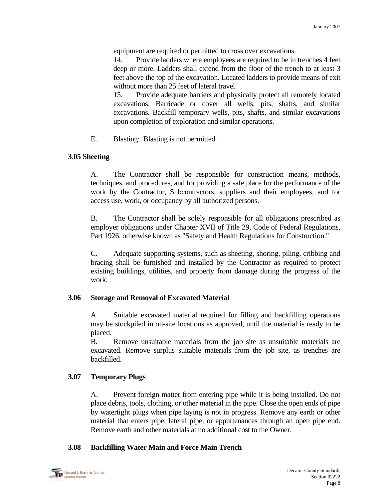equipment are required or permitted to cross over excavations.

 14. Provide ladders where employees are required to be in trenches 4 feet deep or more. Ladders shall extend from the floor of the trench to at least 3 feet above the top of the excavation. Located ladders to provide means of exit without more than 25 feet of lateral travel.

 15. Provide adequate barriers and physically protect all remotely located excavations. Barricade or cover all wells, pits, shafts, and similar excavations. Backfill temporary wells, pits, shafts, and similar excavations upon completion of exploration and similar operations.

E. Blasting: Blasting is not permitted.

## **3.05 Sheeting**

 A. The Contractor shall be responsible for construction means, methods, techniques, and procedures, and for providing a safe place for the performance of the work by the Contractor, Subcontractors, suppliers and their employees, and for access use, work, or occupancy by all authorized persons.

 B. The Contractor shall be solely responsible for all obligations prescribed as employer obligations under Chapter XVII of Title 29, Code of Federal Regulations, Part 1926, otherwise known as "Safety and Health Regulations for Construction."

 C. Adequate supporting systems, such as sheeting, shoring, piling, cribbing and bracing shall be furnished and installed by the Contractor as required to protect existing buildings, utilities, and property from damage during the progress of the work.

## **3.06 Storage and Removal of Excavated Material**

 A. Suitable excavated material required for filling and backfilling operations may be stockpiled in on-site locations as approved, until the material is ready to be placed.

 B. Remove unsuitable materials from the job site as unsuitable materials are excavated. Remove surplus suitable materials from the job site, as trenches are backfilled.

## **3.07 Temporary Plugs**

 A. Prevent foreign matter from entering pipe while it is being installed. Do not place debris, tools, clothing, or other material in the pipe. Close the open ends of pipe by watertight plugs when pipe laying is not in progress. Remove any earth or other material that enters pipe, lateral pipe, or appurtenances through an open pipe end. Remove earth and other materials at no additional cost to the Owner.

# **3.08 Backfilling Water Main and Force Main Trench**

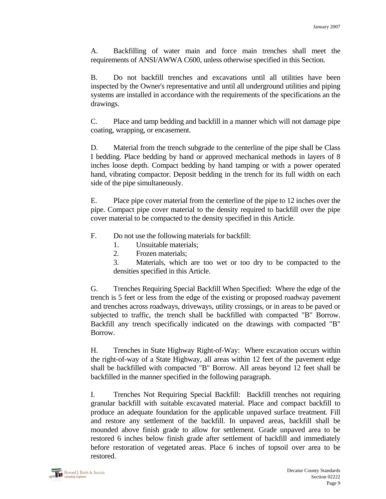A. Backfilling of water main and force main trenches shall meet the requirements of ANSI/AWWA C600, unless otherwise specified in this Section.

 B. Do not backfill trenches and excavations until all utilities have been inspected by the Owner's representative and until all underground utilities and piping systems are installed in accordance with the requirements of the specifications an the drawings.

 C. Place and tamp bedding and backfill in a manner which will not damage pipe coating, wrapping, or encasement.

 D. Material from the trench subgrade to the centerline of the pipe shall be Class I bedding. Place bedding by hand or approved mechanical methods in layers of 8 inches loose depth. Compact bedding by hand tamping or with a power operated hand, vibrating compactor. Deposit bedding in the trench for its full width on each side of the pipe simultaneously.

 E. Place pipe cover material from the centerline of the pipe to 12 inches over the pipe. Compact pipe cover material to the density required to backfill over the pipe cover material to be compacted to the density specified in this Article.

- F. Do not use the following materials for backfill:
	- 1. Unsuitable materials;
	- 2. Frozen materials;
	- 3. Materials, which are too wet or too dry to be compacted to the densities specified in this Article.

 G. Trenches Requiring Special Backfill When Specified: Where the edge of the trench is 5 feet or less from the edge of the existing or proposed roadway pavement and trenches across roadways, driveways, utility crossings, or in areas to be paved or subjected to traffic, the trench shall be backfilled with compacted "B" Borrow. Backfill any trench specifically indicated on the drawings with compacted "B" Borrow.

 H. Trenches in State Highway Right-of-Way: Where excavation occurs within the right-of-way of a State Highway, all areas within 12 feet of the pavement edge shall be backfilled with compacted "B" Borrow. All areas beyond 12 feet shall be backfilled in the manner specified in the following paragraph.

 I. Trenches Not Requiring Special Backfill: Backfill trenches not requiring granular backfill with suitable excavated material. Place and compact backfill to produce an adequate foundation for the applicable unpaved surface treatment. Fill and restore any settlement of the backfill. In unpaved areas, backfill shall be mounded above finish grade to allow for settlement. Grade unpaved area to be restored 6 inches below finish grade after settlement of backfill and immediately before restoration of vegetated areas. Place 6 inches of topsoil over area to be restored.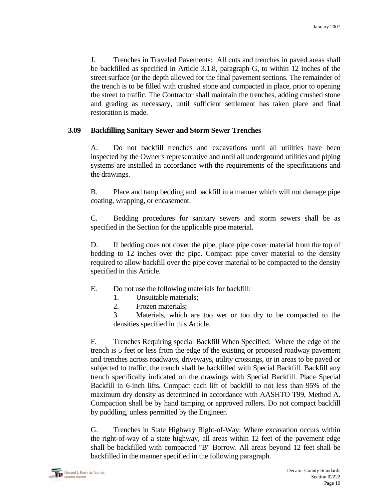J. Trenches in Traveled Pavements: All cuts and trenches in paved areas shall be backfilled as specified in Article 3.1.8, paragraph G, to within 12 inches of the street surface (or the depth allowed for the final pavement sections. The remainder of the trench is to be filled with crushed stone and compacted in place, prior to opening the street to traffic. The Contractor shall maintain the trenches, adding crushed stone and grading as necessary, until sufficient settlement has taken place and final restoration is made.

## **3.09 Backfilling Sanitary Sewer and Storm Sewer Trenches**

 A. Do not backfill trenches and excavations until all utilities have been inspected by the Owner's representative and until all underground utilities and piping systems are installed in accordance with the requirements of the specifications and the drawings.

 B. Place and tamp bedding and backfill in a manner which will not damage pipe coating, wrapping, or encasement.

 C. Bedding procedures for sanitary sewers and storm sewers shall be as specified in the Section for the applicable pipe material.

 D. If bedding does not cover the pipe, place pipe cover material from the top of bedding to 12 inches over the pipe. Compact pipe cover material to the density required to allow backfill over the pipe cover material to be compacted to the density specified in this Article.

- E. Do not use the following materials for backfill:
	- 1. Unsuitable materials;
	- 2. Frozen materials;

 3. Materials, which are too wet or too dry to be compacted to the densities specified in this Article.

 F. Trenches Requiring special Backfill When Specified: Where the edge of the trench is 5 feet or less from the edge of the existing or proposed roadway pavement and trenches across roadways, driveways, utility crossings, or in areas to be paved or subjected to traffic, the trench shall be backfilled with Special Backfill. Backfill any trench specifically indicated on the drawings with Special Backfill. Place Special Backfill in 6-inch lifts. Compact each lift of backfill to not less than 95% of the maximum dry density as determined in accordance with AASHTO T99, Method A. Compaction shall be by hand tamping or approved rollers. Do not compact backfill by puddling, unless permitted by the Engineer.

 G. Trenches in State Highway Right-of-Way: Where excavation occurs within the right-of-way of a state highway, all areas within 12 feet of the pavement edge shall be backfilled with compacted "B" Borrow. All areas beyond 12 feet shall be backfilled in the manner specified in the following paragraph.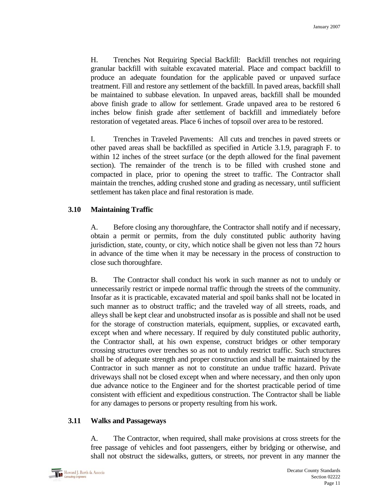H. Trenches Not Requiring Special Backfill: Backfill trenches not requiring granular backfill with suitable excavated material. Place and compact backfill to produce an adequate foundation for the applicable paved or unpaved surface treatment. Fill and restore any settlement of the backfill. In paved areas, backfill shall be maintained to subbase elevation. In unpaved areas, backfill shall be mounded above finish grade to allow for settlement. Grade unpaved area to be restored 6 inches below finish grade after settlement of backfill and immediately before restoration of vegetated areas. Place 6 inches of topsoil over area to be restored.

 I. Trenches in Traveled Pavements: All cuts and trenches in paved streets or other paved areas shall be backfilled as specified in Article 3.1.9, paragraph F. to within 12 inches of the street surface (or the depth allowed for the final pavement section). The remainder of the trench is to be filled with crushed stone and compacted in place, prior to opening the street to traffic. The Contractor shall maintain the trenches, adding crushed stone and grading as necessary, until sufficient settlement has taken place and final restoration is made.

# **3.10 Maintaining Traffic**

 A. Before closing any thoroughfare, the Contractor shall notify and if necessary, obtain a permit or permits, from the duly constituted public authority having jurisdiction, state, county, or city, which notice shall be given not less than 72 hours in advance of the time when it may be necessary in the process of construction to close such thoroughfare.

 B. The Contractor shall conduct his work in such manner as not to unduly or unnecessarily restrict or impede normal traffic through the streets of the community. Insofar as it is practicable, excavated material and spoil banks shall not be located in such manner as to obstruct traffic; and the traveled way of all streets, roads, and alleys shall be kept clear and unobstructed insofar as is possible and shall not be used for the storage of construction materials, equipment, supplies, or excavated earth, except when and where necessary. If required by duly constituted public authority, the Contractor shall, at his own expense, construct bridges or other temporary crossing structures over trenches so as not to unduly restrict traffic. Such structures shall be of adequate strength and proper construction and shall be maintained by the Contractor in such manner as not to constitute an undue traffic hazard. Private driveways shall not be closed except when and where necessary, and then only upon due advance notice to the Engineer and for the shortest practicable period of time consistent with efficient and expeditious construction. The Contractor shall be liable for any damages to persons or property resulting from his work.

## **3.11 Walks and Passageways**

 A. The Contractor, when required, shall make provisions at cross streets for the free passage of vehicles and foot passengers, either by bridging or otherwise, and shall not obstruct the sidewalks, gutters, or streets, nor prevent in any manner the

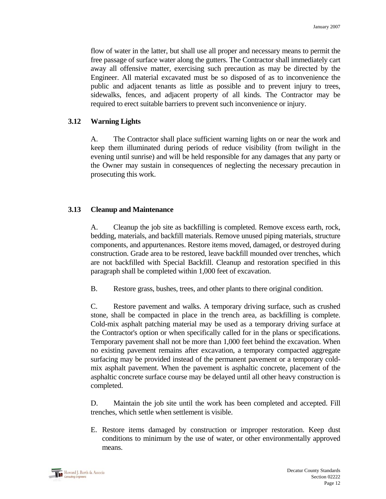flow of water in the latter, but shall use all proper and necessary means to permit the free passage of surface water along the gutters. The Contractor shall immediately cart away all offensive matter, exercising such precaution as may be directed by the Engineer. All material excavated must be so disposed of as to inconvenience the public and adjacent tenants as little as possible and to prevent injury to trees, sidewalks, fences, and adjacent property of all kinds. The Contractor may be required to erect suitable barriers to prevent such inconvenience or injury.

#### **3.12 Warning Lights**

 A. The Contractor shall place sufficient warning lights on or near the work and keep them illuminated during periods of reduce visibility (from twilight in the evening until sunrise) and will be held responsible for any damages that any party or the Owner may sustain in consequences of neglecting the necessary precaution in prosecuting this work.

#### **3.13 Cleanup and Maintenance**

 A. Cleanup the job site as backfilling is completed. Remove excess earth, rock, bedding, materials, and backfill materials. Remove unused piping materials, structure components, and appurtenances. Restore items moved, damaged, or destroyed during construction. Grade area to be restored, leave backfill mounded over trenches, which are not backfilled with Special Backfill. Cleanup and restoration specified in this paragraph shall be completed within 1,000 feet of excavation.

B. Restore grass, bushes, trees, and other plants to there original condition.

 C. Restore pavement and walks. A temporary driving surface, such as crushed stone, shall be compacted in place in the trench area, as backfilling is complete. Cold-mix asphalt patching material may be used as a temporary driving surface at the Contractor's option or when specifically called for in the plans or specifications. Temporary pavement shall not be more than 1,000 feet behind the excavation. When no existing pavement remains after excavation, a temporary compacted aggregate surfacing may be provided instead of the permanent pavement or a temporary coldmix asphalt pavement. When the pavement is asphaltic concrete, placement of the asphaltic concrete surface course may be delayed until all other heavy construction is completed.

 D. Maintain the job site until the work has been completed and accepted. Fill trenches, which settle when settlement is visible.

E. Restore items damaged by construction or improper restoration. Keep dust conditions to minimum by the use of water, or other environmentally approved means.

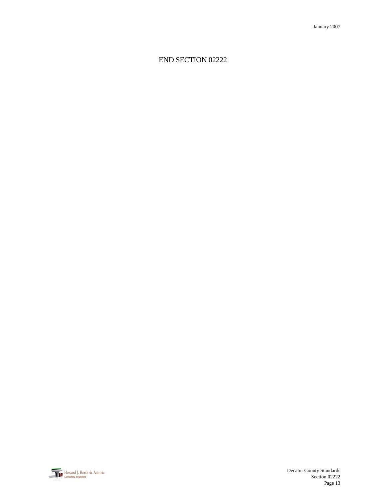# END SECTION 02222

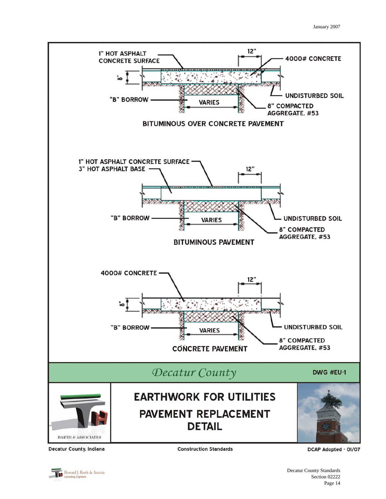

Decatur County, Indiana

**Construction Standards** 

DCAP Adopted - 01/07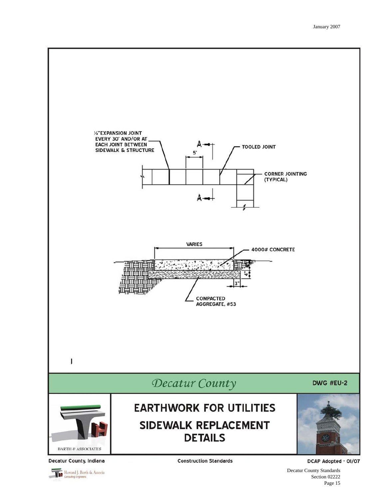

Howard J. Barth & Associa

Decatur County Standards Section 02222 Page 15